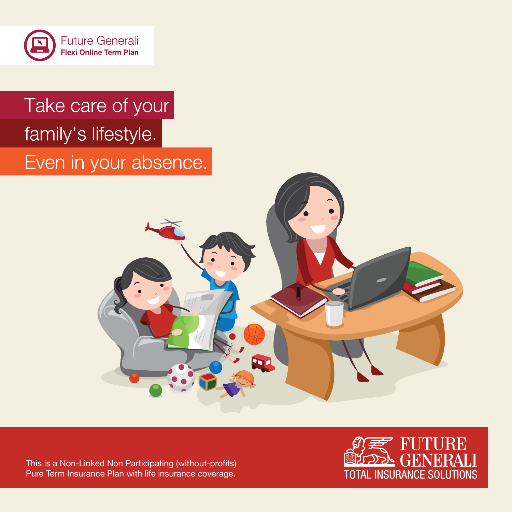

# Take care of your family's lifestyle. Even in your absence.



This is a Non-Linked Non Participating (without-profits) Pure Term Insurance Plan with life insurance coverage.

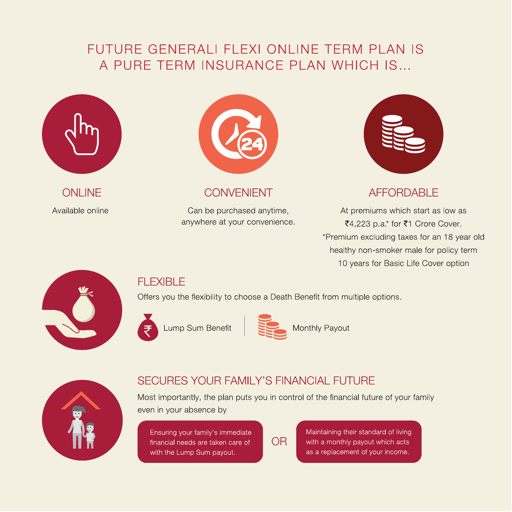## FUTURE GENERALI FLEXI ONLINE TERM PLAN IS A PURE TERM INSURANCE PLAN WHICH IS...



**ONLINE** Available online



#### **CONVENIENT**

Can be purchased anytime, anywhere at your convenience.



### **AFFORDABLE**

At premiums which start as low as ₹4,223 p.a\* for ₹1 Crore Cover. \*Premium excluding taxes for an 18 year old healthy non-smoker male for policy term 10 years for Basic Life Cover option



### **FLEXIBLE**

Offers you the flexibility to choose a Death Benefit from multiple options.



Lump Sum Benefit



Monthly Payout



## **SECURES YOUR FAMILY'S FINANCIAL FUTURE**

Most importantly, the plan puts you in control of the financial future of your family even in your absence by

Ensuring your family's immediate financial needs are taken care of with the Lump Sum payout.

**OR** 

Maintaining their standard of living with a monthly payout which acts as a replacement of your income.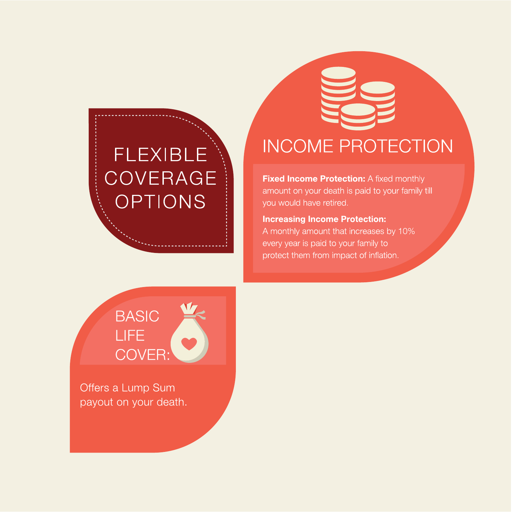# **FLEXIBLE COVERAGE** OPTIONS

# **INCOME PROTECTION**

Fixed Income Protection: A fixed monthly amount on your death is paid to your family till you would have retired.

**Increasing Income Protection:** A monthly amount that increases by 10% every year is paid to your family to protect them from impact of inflation.

# **BASIC** LIFE<sup></sup> **COVER:**

Offers a Lump Sum payout on your death.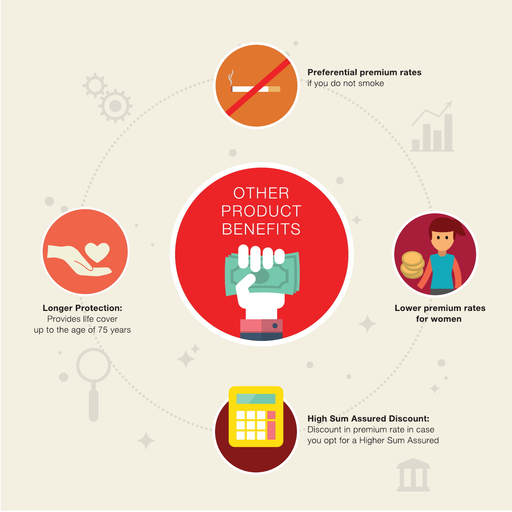

**OTHER** 

PRODUCT

**BENEFITS** 

**Preferential premium rates** if you do not smoke

**Longer Protection:** Provides life cover up to the age of 75 years



Lower premium rates for women

# **High Sum Assured Discount:** Discount in premium rate in case

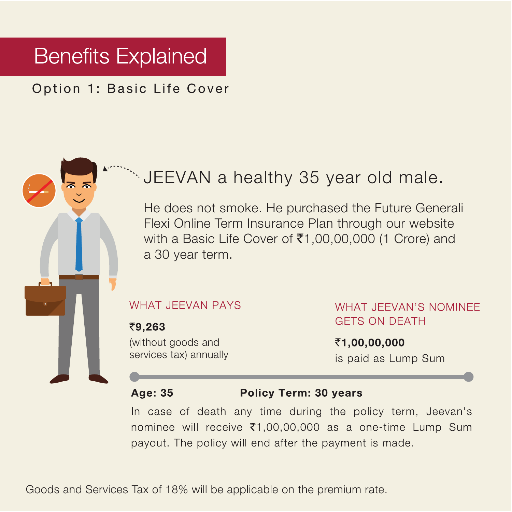# **Benefits Explained**

## Option 1: Basic Life Cover

# JEEVAN a healthy 35 year old male.

He does not smoke. He purchased the Future Generali Flexi Online Term Insurance Plan through our website with a Basic Life Cover of ₹1,00,00,000 (1 Crore) and a 30 year term.

#### **WHAT JEEVAN PAYS**

₹9,263 (without goods and services tax) annually **WHAT JFFVAN'S NOMINFF GETS ON DEATH** 

₹1,00,00,000 is paid as Lump Sum

#### **Age: 35**

#### **Policy Term: 30 years**

In case of death any time during the policy term, Jeevan's nominee will receive ₹1,00,00,000 as a one-time Lump Sum payout. The policy will end after the payment is made.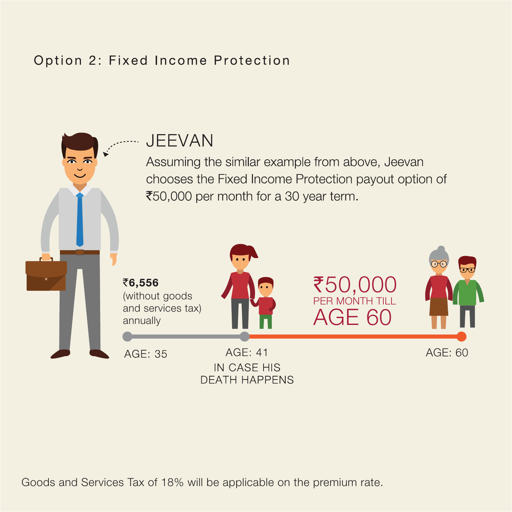# Option 2: Fixed Income Protection



Assuming the similar example from above, Jeevan chooses the Fixed Income Protection payout option of ₹50,000 per month for a 30 year term.



Goods and Services Tax of 18% will be applicable on the premium rate.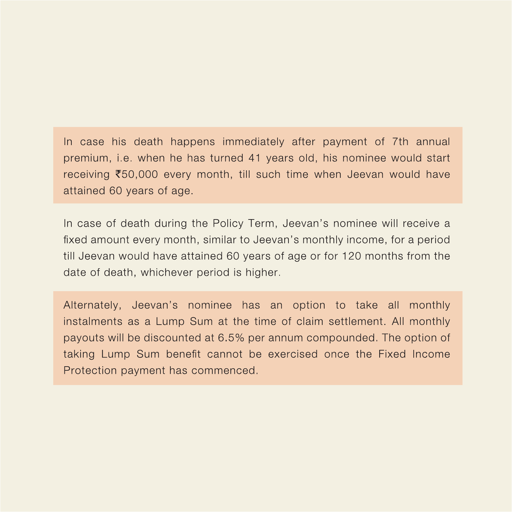In case his death happens immediately after payment of 7th annual premium, i.e. when he has turned 41 years old, his nominee would start receiving ₹50,000 every month, till such time when Jeevan would have attained 60 years of age.

In case of death during the Policy Term, Jeevan's nominee will receive a fixed amount every month, similar to Jeevan's monthly income, for a period till Jeevan would have attained 60 years of age or for 120 months from the date of death, whichever period is higher.

Alternately, Jeevan's nominee has an option to take all monthly instalments as a Lump Sum at the time of claim settlement. All monthly payouts will be discounted at 6.5% per annum compounded. The option of taking Lump Sum benefit cannot be exercised once the Fixed Income Protection payment has commenced.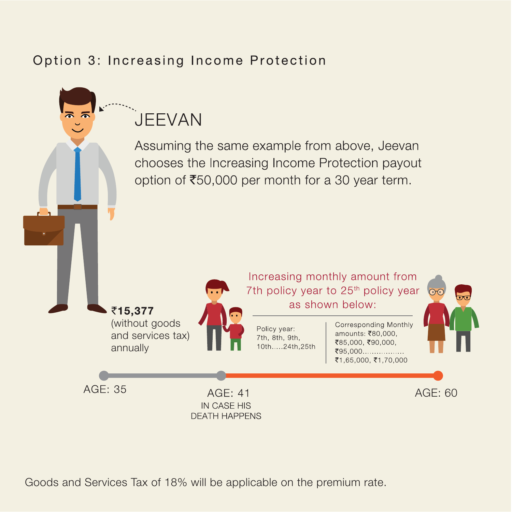# Option 3: Increasing Income Protection



Goods and Services Tax of 18% will be applicable on the premium rate.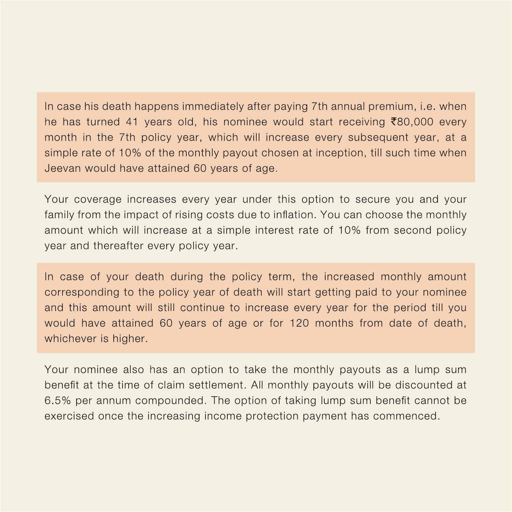In case his death happens immediately after paying 7th annual premium, i.e. when he has turned 41 years old, his nominee would start receiving ₹80,000 every month in the 7th policy year, which will increase every subsequent year, at a simple rate of 10% of the monthly payout chosen at inception, till such time when Jeevan would have attained 60 years of age.

Your coverage increases every year under this option to secure you and your family from the impact of rising costs due to inflation. You can choose the monthly amount which will increase at a simple interest rate of 10% from second policy year and thereafter every policy year.

In case of your death during the policy term, the increased monthly amount corresponding to the policy year of death will start getting paid to your nominee and this amount will still continue to increase every year for the period till you would have attained 60 years of age or for 120 months from date of death, whichever is higher.

Your nominee also has an option to take the monthly payouts as a lump sum benefit at the time of claim settlement. All monthly payouts will be discounted at 6.5% per annum compounded. The option of taking lump sum benefit cannot be exercised once the increasing income protection payment has commenced.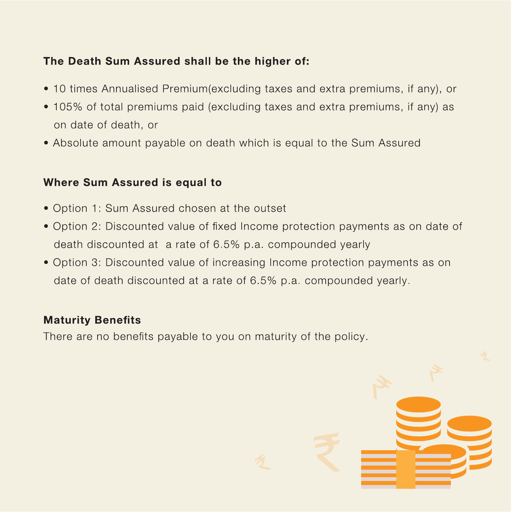### The Death Sum Assured shall be the higher of:

- 10 times Annualised Premium (excluding taxes and extra premiums, if any), or
- 105% of total premiums paid (excluding taxes and extra premiums, if any) as on date of death, or
- Absolute amount payable on death which is equal to the Sum Assured

#### Where Sum Assured is equal to

- Option 1: Sum Assured chosen at the outset
- Option 2: Discounted value of fixed Income protection payments as on date of death discounted at a rate of 6.5% p.a. compounded yearly
- Option 3: Discounted value of increasing Income protection payments as on date of death discounted at a rate of 6.5% p.a. compounded yearly.

### **Maturity Benefits**

There are no benefits payable to you on maturity of the policy.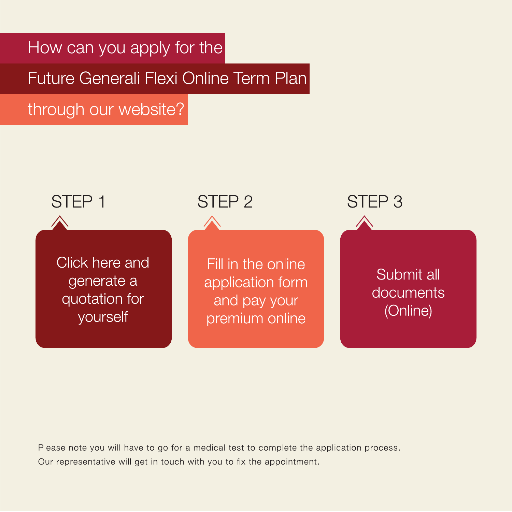How can you apply for the

Future Generali Flexi Online Term Plan

through our website?



Please note you will have to go for a medical test to complete the application process. Our representative will get in touch with you to fix the appointment.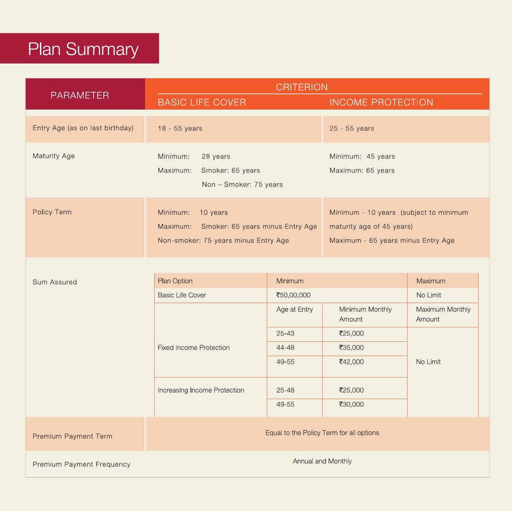# **Plan Summary**

|                                 | <b>CRITERION</b>                                                               |                                           |                                        |                                                                                                           |  |
|---------------------------------|--------------------------------------------------------------------------------|-------------------------------------------|----------------------------------------|-----------------------------------------------------------------------------------------------------------|--|
| <b>PARAMETER</b>                | <b>BASIC LIFE COVER</b>                                                        |                                           | <b>INCOME PROTECTION</b>               |                                                                                                           |  |
| Entry Age (as on last birthday) | $18 - 55$ years                                                                |                                           | 25 - 55 years                          |                                                                                                           |  |
| Maturity Age                    | Minimum:<br>28 years<br>Maximum:<br>Smoker: 65 years<br>Non - Smoker: 75 years |                                           | Minimum: 45 years<br>Maximum: 65 years |                                                                                                           |  |
| Policy Term                     | Minimum:<br>10 years<br>Non-smoker: 75 years minus Entry Age                   | Maximum: Smoker: 65 years minus Entry Age |                                        | Minimum - 10 years (subject to minimum<br>maturity age of 45 years)<br>Maximum - 65 years minus Entry Age |  |
| Sum Assured                     | <b>Plan Option</b>                                                             | <b>Minimum</b>                            |                                        | Maximum                                                                                                   |  |

|                      | <b>Basic Life Cover</b>                  | ₹50,00,000   |                           | No Limit                  |  |
|----------------------|------------------------------------------|--------------|---------------------------|---------------------------|--|
|                      |                                          | Age at Entry | Minimum Monthly<br>Amount | Maximum Monthly<br>Amount |  |
|                      |                                          | $25 - 43$    | ₹25,000                   |                           |  |
|                      | <b>Fixed Income Protection</b>           | 44-48        | ₹35,000                   |                           |  |
|                      |                                          | 49-55        | ₹42,000                   | No Limit                  |  |
|                      | Increasing Income Protection             | $25 - 48$    | ₹25,000                   |                           |  |
|                      |                                          | 49-55        | ₹30,000                   |                           |  |
| Premium Payment Term | Equal to the Policy Term for all options |              |                           |                           |  |

Premium Payment Frequency

Annual and Monthly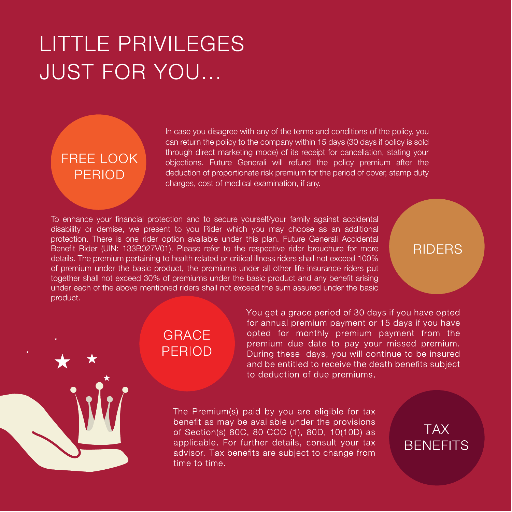# **LITTLE PRIVILEGES JUST FOR YOU...**

# FRFF LOOK **PERIOD**

In case you disagree with any of the terms and conditions of the policy, you can return the policy to the company within 15 days (30 days if policy is sold through direct marketing mode) of its receipt for cancellation, stating your objections. Future Generali will refund the policy premium after the deduction of proportionate risk premium for the period of cover, stamp duty charges, cost of medical examination, if any.

To enhance your financial protection and to secure yourself/your family against accidental disability or demise, we present to you Rider which you may choose as an additional protection. There is one rider option available under this plan. Future Generali Accidental Benefit Rider (UIN: 133B027V01). Please refer to the respective rider brouchure for more details. The premium pertaining to health related or critical illness riders shall not exceed 100% of premium under the basic product, the premiums under all other life insurance riders put together shall not exceed 30% of premiums under the basic product and any benefit arising under each of the above mentioned riders shall not exceed the sum assured under the basic product.

### **RIDERS**

# **GRACF PFRIOD**

You get a grace period of 30 days if you have opted for annual premium payment or 15 days if you have opted for monthly premium payment from the premium due date to pay your missed premium. During these days, you will continue to be insured and be entitled to receive the death benefits subject to deduction of due premiums.

The Premium(s) paid by you are eligible for tax benefit as may be available under the provisions of Section(s) 80C, 80 CCC (1), 80D, 10(10D) as applicable. For further details, consult your tax advisor. Tax benefits are subject to change from time to time.

**TAX BENEFITS**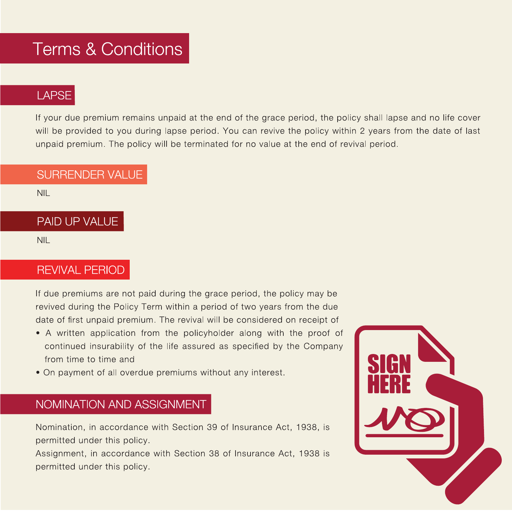# **Terms & Conditions**

## **LAPSE**

If your due premium remains unpaid at the end of the grace period, the policy shall lapse and no life cover will be provided to you during lapse period. You can revive the policy within 2 years from the date of last unpaid premium. The policy will be terminated for no value at the end of revival period.

#### **SURRENDER VALUE**

 $NIL$ 

#### PAID UP VALUE

**NIL** 

### **REVIVAL PERIOD**

If due premiums are not paid during the grace period, the policy may be revived during the Policy Term within a period of two years from the due date of first unpaid premium. The revival will be considered on receipt of

- A written application from the policyholder along with the proof of continued insurability of the life assured as specified by the Company from time to time and
- On payment of all overdue premiums without any interest.

### NOMINATION AND ASSIGNMENT

Nomination, in accordance with Section 39 of Insurance Act, 1938, is permitted under this policy.

Assignment, in accordance with Section 38 of Insurance Act, 1938 is permitted under this policy.

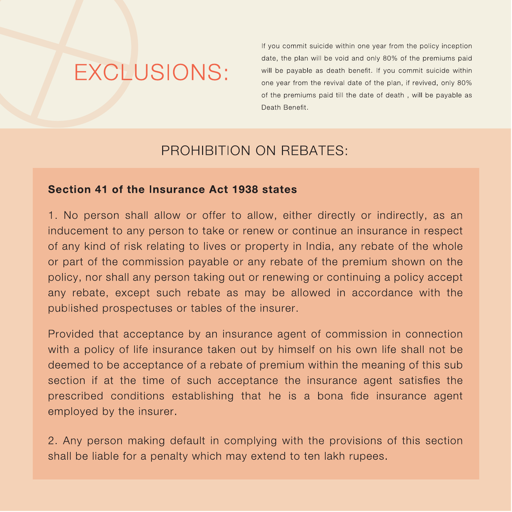# **EXCLUSIONS:**

If you commit suicide within one year from the policy inception date, the plan will be void and only 80% of the premiums paid will be payable as death benefit. If you commit suicide within one year from the revival date of the plan, if revived, only 80% of the premiums paid till the date of death, will be payable as Death Benefit.

## PROHIBITION ON REBATES:

#### Section 41 of the Insurance Act 1938 states

1. No person shall allow or offer to allow, either directly or indirectly, as an inducement to any person to take or renew or continue an insurance in respect of any kind of risk relating to lives or property in India, any rebate of the whole or part of the commission payable or any rebate of the premium shown on the policy, nor shall any person taking out or renewing or continuing a policy accept any rebate, except such rebate as may be allowed in accordance with the published prospectuses or tables of the insurer.

Provided that acceptance by an insurance agent of commission in connection with a policy of life insurance taken out by himself on his own life shall not be deemed to be acceptance of a rebate of premium within the meaning of this sub section if at the time of such acceptance the insurance agent satisfies the prescribed conditions establishing that he is a bona fide insurance agent employed by the insurer.

2. Any person making default in complying with the provisions of this section shall be liable for a penalty which may extend to ten lakh rupees.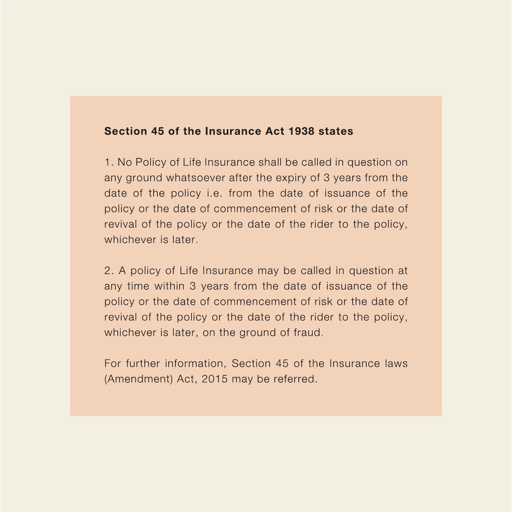#### Section 45 of the Insurance Act 1938 states

1. No Policy of Life Insurance shall be called in question on any ground whatsoever after the expiry of 3 years from the date of the policy *i.e.* from the date of issuance of the policy or the date of commencement of risk or the date of revival of the policy or the date of the rider to the policy, whichever is later.

2. A policy of Life Insurance may be called in question at any time within 3 years from the date of issuance of the policy or the date of commencement of risk or the date of revival of the policy or the date of the rider to the policy, whichever is later, on the ground of fraud.

For further information, Section 45 of the Insurance laws (Amendment) Act, 2015 may be referred.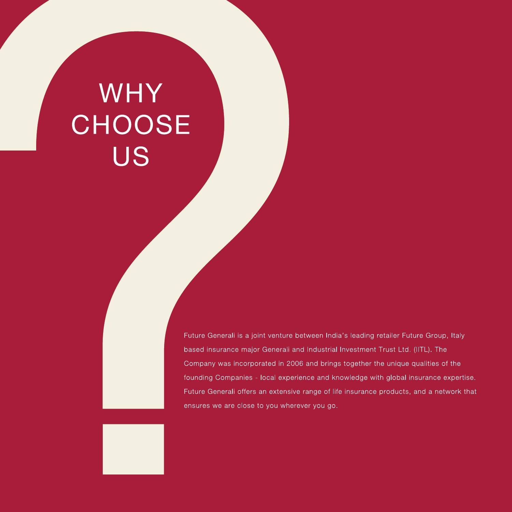# WHY **CHOOSE** US

Future Generali is a joint venture between India's leading retailer Future Group, Italy based insurance major Generali and Industrial Investment Trust Ltd. (IITL). The Company was incorporated in 2006 and brings together the unique qualities of the founding Companies - local experience and knowledge with global insurance expertise. Future Generali offers an extensive range of life insurance products, and a network that ensures we are close to you wherever you go.